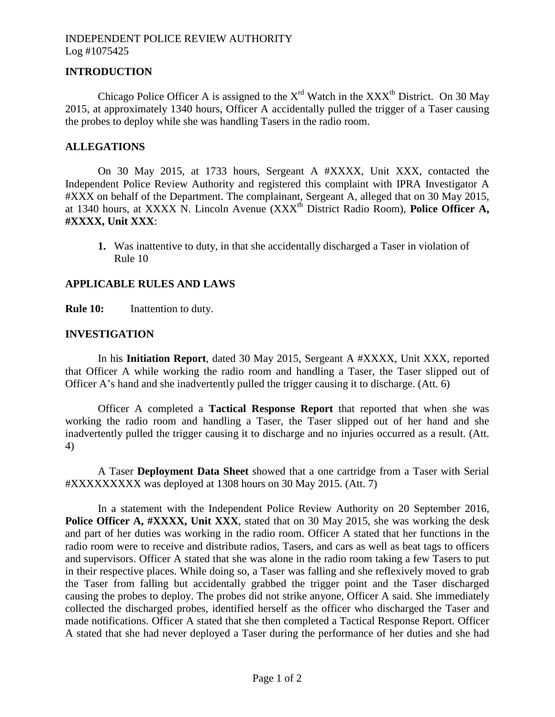# INDEPENDENT POLICE REVIEW AUTHORITY Log #1075425

# **INTRODUCTION**

Chicago Police Officer A is assigned to the  $X^{rd}$  Watch in the  $XXX^{th}$  District. On 30 May 2015, at approximately 1340 hours, Officer A accidentally pulled the trigger of a Taser causing the probes to deploy while she was handling Tasers in the radio room.

#### **ALLEGATIONS**

On 30 May 2015, at 1733 hours, Sergeant A #XXXX, Unit XXX, contacted the Independent Police Review Authority and registered this complaint with IPRA Investigator A #XXX on behalf of the Department. The complainant, Sergeant A, alleged that on 30 May 2015, at 1340 hours, at XXXX N. Lincoln Avenue (XXXth District Radio Room), **Police Officer A, #XXXX, Unit XXX**:

**1.** Was inattentive to duty, in that she accidentally discharged a Taser in violation of Rule 10

#### **APPLICABLE RULES AND LAWS**

**Rule 10:** Inattention to duty.

#### **INVESTIGATION**

In his **Initiation Report**, dated 30 May 2015, Sergeant A #XXXX, Unit XXX, reported that Officer A while working the radio room and handling a Taser, the Taser slipped out of Officer A's hand and she inadvertently pulled the trigger causing it to discharge. (Att. 6)

Officer A completed a **Tactical Response Report** that reported that when she was working the radio room and handling a Taser, the Taser slipped out of her hand and she inadvertently pulled the trigger causing it to discharge and no injuries occurred as a result. (Att. 4)

A Taser **Deployment Data Sheet** showed that a one cartridge from a Taser with Serial #XXXXXXXXX was deployed at 1308 hours on 30 May 2015. (Att. 7)

In a statement with the Independent Police Review Authority on 20 September 2016, Police Officer A, #XXXX, Unit XXX, stated that on 30 May 2015, she was working the desk and part of her duties was working in the radio room. Officer A stated that her functions in the radio room were to receive and distribute radios, Tasers, and cars as well as beat tags to officers and supervisors. Officer A stated that she was alone in the radio room taking a few Tasers to put in their respective places. While doing so, a Taser was falling and she reflexively moved to grab the Taser from falling but accidentally grabbed the trigger point and the Taser discharged causing the probes to deploy. The probes did not strike anyone, Officer A said. She immediately collected the discharged probes, identified herself as the officer who discharged the Taser and made notifications. Officer A stated that she then completed a Tactical Response Report. Officer A stated that she had never deployed a Taser during the performance of her duties and she had